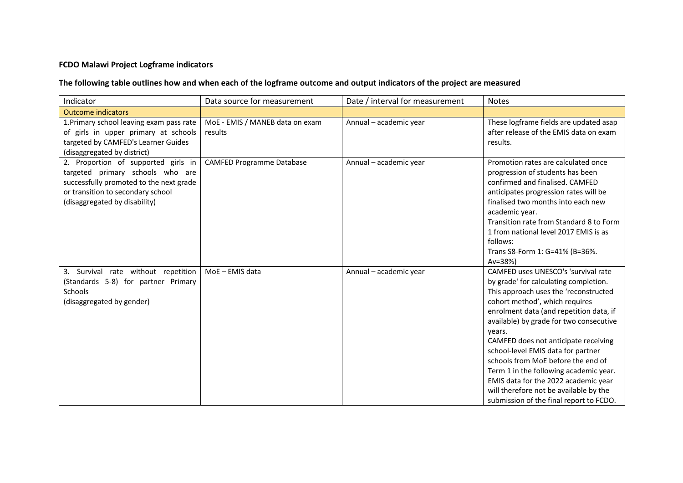## **FCDO Malawi Project Logframe indicators**

## **The following table outlines how and when each of the logframe outcome and output indicators of the project are measured**

| Indicator                                                                                                                                                                                | Data source for measurement                | Date / interval for measurement | <b>Notes</b>                                                                                                                                                                                                                                                                                                                                                                                                                                                                                                                                       |
|------------------------------------------------------------------------------------------------------------------------------------------------------------------------------------------|--------------------------------------------|---------------------------------|----------------------------------------------------------------------------------------------------------------------------------------------------------------------------------------------------------------------------------------------------------------------------------------------------------------------------------------------------------------------------------------------------------------------------------------------------------------------------------------------------------------------------------------------------|
| <b>Outcome indicators</b>                                                                                                                                                                |                                            |                                 |                                                                                                                                                                                                                                                                                                                                                                                                                                                                                                                                                    |
| 1. Primary school leaving exam pass rate<br>of girls in upper primary at schools<br>targeted by CAMFED's Learner Guides<br>(disaggregated by district)                                   | MoE - EMIS / MANEB data on exam<br>results | Annual - academic year          | These logframe fields are updated asap<br>after release of the EMIS data on exam<br>results.                                                                                                                                                                                                                                                                                                                                                                                                                                                       |
| 2. Proportion of supported girls in<br>targeted primary schools who are<br>successfully promoted to the next grade<br>or transition to secondary school<br>(disaggregated by disability) | <b>CAMFED Programme Database</b>           | Annual - academic year          | Promotion rates are calculated once<br>progression of students has been<br>confirmed and finalised. CAMFED<br>anticipates progression rates will be<br>finalised two months into each new<br>academic year.<br>Transition rate from Standard 8 to Form<br>1 from national level 2017 EMIS is as<br>follows:<br>Trans S8-Form 1: G=41% (B=36%.<br>$Av = 38%$                                                                                                                                                                                        |
| 3. Survival rate without repetition<br>(Standards 5-8) for partner Primary<br><b>Schools</b><br>(disaggregated by gender)                                                                | MoE-EMIS data                              | Annual - academic year          | CAMFED uses UNESCO's 'survival rate<br>by grade' for calculating completion.<br>This approach uses the 'reconstructed<br>cohort method', which requires<br>enrolment data (and repetition data, if<br>available) by grade for two consecutive<br>years.<br>CAMFED does not anticipate receiving<br>school-level EMIS data for partner<br>schools from MoE before the end of<br>Term 1 in the following academic year.<br>EMIS data for the 2022 academic year<br>will therefore not be available by the<br>submission of the final report to FCDO. |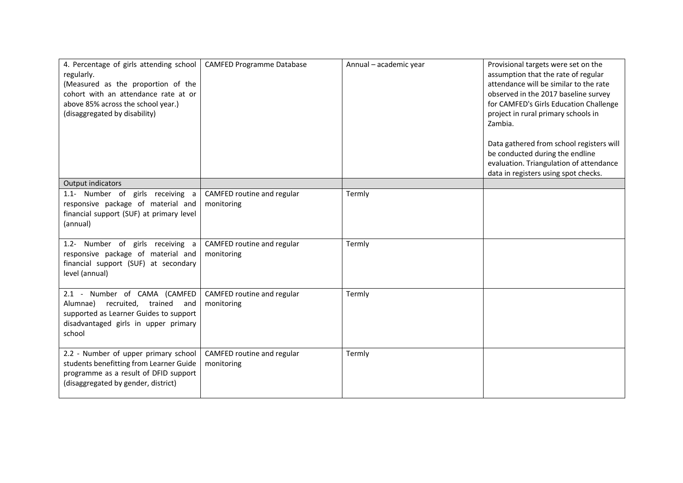| 4. Percentage of girls attending school<br>regularly.<br>(Measured as the proportion of the<br>cohort with an attendance rate at or<br>above 85% across the school year.)<br>(disaggregated by disability) | <b>CAMFED Programme Database</b>         | Annual - academic year | Provisional targets were set on the<br>assumption that the rate of regular<br>attendance will be similar to the rate<br>observed in the 2017 baseline survey<br>for CAMFED's Girls Education Challenge<br>project in rural primary schools in<br>Zambia.<br>Data gathered from school registers will<br>be conducted during the endline<br>evaluation. Triangulation of attendance<br>data in registers using spot checks. |
|------------------------------------------------------------------------------------------------------------------------------------------------------------------------------------------------------------|------------------------------------------|------------------------|----------------------------------------------------------------------------------------------------------------------------------------------------------------------------------------------------------------------------------------------------------------------------------------------------------------------------------------------------------------------------------------------------------------------------|
| <b>Output indicators</b>                                                                                                                                                                                   |                                          |                        |                                                                                                                                                                                                                                                                                                                                                                                                                            |
| 1.1- Number of girls receiving a<br>responsive package of material and<br>financial support (SUF) at primary level<br>(annual)                                                                             | CAMFED routine and regular<br>monitoring | Termly                 |                                                                                                                                                                                                                                                                                                                                                                                                                            |
| 1.2- Number of girls receiving a<br>responsive package of material and<br>financial support (SUF) at secondary<br>level (annual)                                                                           | CAMFED routine and regular<br>monitoring | Termly                 |                                                                                                                                                                                                                                                                                                                                                                                                                            |
| 2.1 - Number of CAMA (CAMFED<br>recruited,<br>trained<br>Alumnae)<br>and<br>supported as Learner Guides to support<br>disadvantaged girls in upper primary<br>school                                       | CAMFED routine and regular<br>monitoring | Termly                 |                                                                                                                                                                                                                                                                                                                                                                                                                            |
| 2.2 - Number of upper primary school<br>students benefitting from Learner Guide<br>programme as a result of DFID support<br>(disaggregated by gender, district)                                            | CAMFED routine and regular<br>monitoring | Termly                 |                                                                                                                                                                                                                                                                                                                                                                                                                            |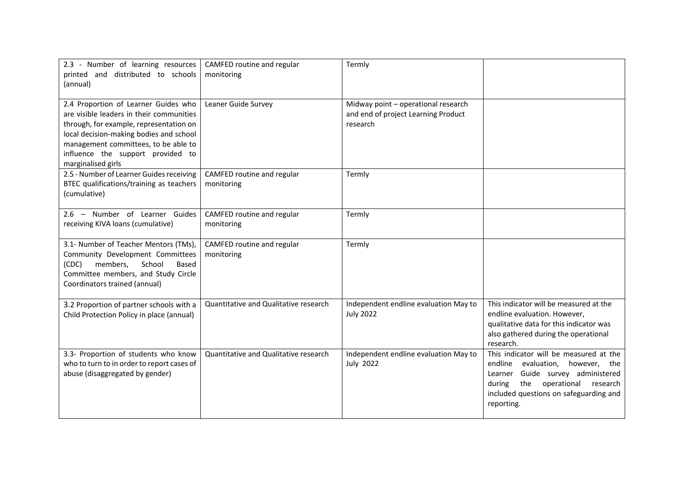| 2.3 - Number of learning resources<br>printed and distributed to schools<br>(annual)                                                                                                                                                                                      | CAMFED routine and regular<br>monitoring | Termly                                                                                 |                                                                                                                                                                                                                  |
|---------------------------------------------------------------------------------------------------------------------------------------------------------------------------------------------------------------------------------------------------------------------------|------------------------------------------|----------------------------------------------------------------------------------------|------------------------------------------------------------------------------------------------------------------------------------------------------------------------------------------------------------------|
| 2.4 Proportion of Learner Guides who<br>are visible leaders in their communities<br>through, for example, representation on<br>local decision-making bodies and school<br>management committees, to be able to<br>influence the support provided to<br>marginalised girls | Leaner Guide Survey                      | Midway point - operational research<br>and end of project Learning Product<br>research |                                                                                                                                                                                                                  |
| 2.5 - Number of Learner Guides receiving<br>BTEC qualifications/training as teachers<br>(cumulative)                                                                                                                                                                      | CAMFED routine and regular<br>monitoring | Termly                                                                                 |                                                                                                                                                                                                                  |
| 2.6 - Number of Learner Guides<br>receiving KIVA loans (cumulative)                                                                                                                                                                                                       | CAMFED routine and regular<br>monitoring | Termly                                                                                 |                                                                                                                                                                                                                  |
| 3.1- Number of Teacher Mentors (TMs),<br>Community Development Committees<br>members,<br>School<br>(CDC)<br>Based<br>Committee members, and Study Circle<br>Coordinators trained (annual)                                                                                 | CAMFED routine and regular<br>monitoring | Termly                                                                                 |                                                                                                                                                                                                                  |
| 3.2 Proportion of partner schools with a<br>Child Protection Policy in place (annual)                                                                                                                                                                                     | Quantitative and Qualitative research    | Independent endline evaluation May to<br><b>July 2022</b>                              | This indicator will be measured at the<br>endline evaluation. However,<br>qualitative data for this indicator was<br>also gathered during the operational<br>research.                                           |
| 3.3- Proportion of students who know<br>who to turn to in order to report cases of<br>abuse (disaggregated by gender)                                                                                                                                                     | Quantitative and Qualitative research    | Independent endline evaluation May to<br><b>July 2022</b>                              | This indicator will be measured at the<br>endline evaluation, however, the<br>Learner Guide survey administered<br>the operational<br>during<br>research<br>included questions on safeguarding and<br>reporting. |